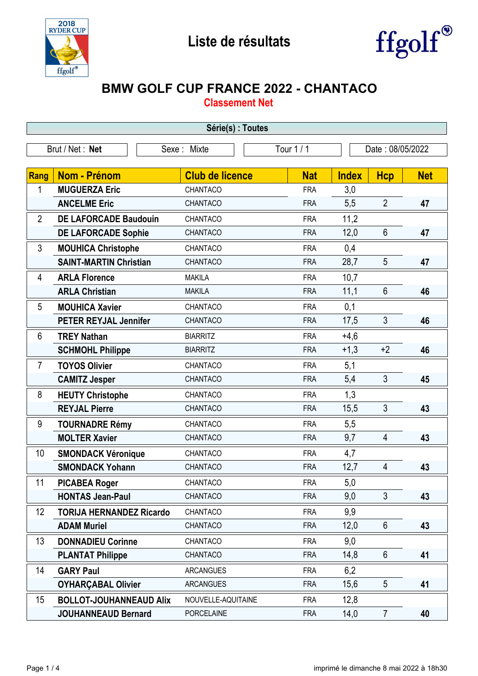



## **BMW GOLF CUP FRANCE 2022 - CHANTACO**

**Classement Net**

| Série(s) : Toutes |                                 |                        |            |              |                  |            |  |
|-------------------|---------------------------------|------------------------|------------|--------------|------------------|------------|--|
|                   | Brut / Net: Net                 | Sexe : Mixte           | Tour 1 / 1 |              | Date: 08/05/2022 |            |  |
|                   |                                 |                        |            |              |                  |            |  |
| Rang              | <b>Nom - Prénom</b>             | <b>Club de licence</b> | <b>Nat</b> | <b>Index</b> | <b>Hcp</b>       | <b>Net</b> |  |
| 1                 | <b>MUGUERZA Eric</b>            | CHANTACO               | <b>FRA</b> | 3,0          |                  |            |  |
|                   | <b>ANCELME Eric</b>             | CHANTACO               | <b>FRA</b> | 5,5          | $\overline{2}$   | 47         |  |
| $\overline{2}$    | <b>DE LAFORCADE Baudouin</b>    | CHANTACO               | <b>FRA</b> | 11,2         |                  |            |  |
|                   | <b>DE LAFORCADE Sophie</b>      | CHANTACO               | <b>FRA</b> | 12,0         | $6\phantom{1}$   | 47         |  |
| 3                 | <b>MOUHICA Christophe</b>       | CHANTACO               | <b>FRA</b> | 0,4          |                  |            |  |
|                   | <b>SAINT-MARTIN Christian</b>   | CHANTACO               | <b>FRA</b> | 28,7         | 5                | 47         |  |
| 4                 | <b>ARLA Florence</b>            | <b>MAKILA</b>          | <b>FRA</b> | 10,7         |                  |            |  |
|                   | <b>ARLA Christian</b>           | <b>MAKILA</b>          | <b>FRA</b> | 11,1         | $6\phantom{1}$   | 46         |  |
| 5                 | <b>MOUHICA Xavier</b>           | CHANTACO               | <b>FRA</b> | 0,1          |                  |            |  |
|                   | <b>PETER REYJAL Jennifer</b>    | CHANTACO               | <b>FRA</b> | 17,5         | 3                | 46         |  |
| 6                 | <b>TREY Nathan</b>              | <b>BIARRITZ</b>        | <b>FRA</b> | $+4,6$       |                  |            |  |
|                   | <b>SCHMOHL Philippe</b>         | <b>BIARRITZ</b>        | <b>FRA</b> | $+1,3$       | $+2$             | 46         |  |
| $\overline{7}$    | <b>TOYOS Olivier</b>            | CHANTACO               | <b>FRA</b> | 5,1          |                  |            |  |
|                   | <b>CAMITZ Jesper</b>            | CHANTACO               | <b>FRA</b> | 5,4          | 3                | 45         |  |
| 8                 | <b>HEUTY Christophe</b>         | CHANTACO               | <b>FRA</b> | 1,3          |                  |            |  |
|                   | <b>REYJAL Pierre</b>            | CHANTACO               | <b>FRA</b> | 15,5         | 3                | 43         |  |
| 9                 | <b>TOURNADRE Rémy</b>           | CHANTACO               | <b>FRA</b> | 5,5          |                  |            |  |
|                   | <b>MOLTER Xavier</b>            | CHANTACO               | <b>FRA</b> | 9,7          | $\overline{4}$   | 43         |  |
| 10                | <b>SMONDACK Véronique</b>       | CHANTACO               | <b>FRA</b> | 4,7          |                  |            |  |
|                   | <b>SMONDACK Yohann</b>          | CHANTACO               | <b>FRA</b> | 12,7         | $\overline{4}$   | 43         |  |
| 11                | <b>PICABEA Roger</b>            | CHANTACO               | <b>FRA</b> | 5,0          |                  |            |  |
|                   | <b>HONTAS Jean-Paul</b>         | CHANTACO               | <b>FRA</b> | 9,0          | 3                | 43         |  |
| 12                | <b>TORIJA HERNANDEZ Ricardo</b> | CHANTACO               | <b>FRA</b> | 9,9          |                  |            |  |
|                   | <b>ADAM Muriel</b>              | CHANTACO               | <b>FRA</b> | 12,0         | $6\phantom{1}$   | 43         |  |
| 13                | <b>DONNADIEU Corinne</b>        | CHANTACO               | <b>FRA</b> | 9,0          |                  |            |  |
|                   | <b>PLANTAT Philippe</b>         | CHANTACO               | <b>FRA</b> | 14,8         | $6\phantom{1}$   | 41         |  |
| 14                | <b>GARY Paul</b>                | <b>ARCANGUES</b>       | <b>FRA</b> | 6,2          |                  |            |  |
|                   | <b>OYHARÇABAL Olivier</b>       | <b>ARCANGUES</b>       | <b>FRA</b> | 15,6         | 5                | 41         |  |
| 15                | <b>BOLLOT-JOUHANNEAUD Alix</b>  | NOUVELLE-AQUITAINE     | <b>FRA</b> | 12,8         |                  |            |  |
|                   | <b>JOUHANNEAUD Bernard</b>      | <b>PORCELAINE</b>      | <b>FRA</b> | 14,0         | $\overline{7}$   | 40         |  |

-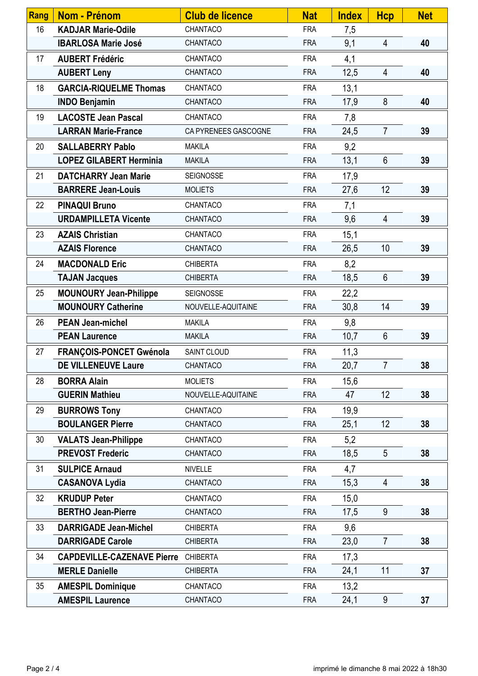| <b>Rang</b> | <b>Nom - Prénom</b>               | <b>Club de licence</b> | <b>Nat</b> | <b>Index</b> | <b>Hcp</b>               | <b>Net</b> |
|-------------|-----------------------------------|------------------------|------------|--------------|--------------------------|------------|
| 16          | <b>KADJAR Marie-Odile</b>         | CHANTACO               | <b>FRA</b> | 7,5          |                          |            |
|             | <b>IBARLOSA Marie José</b>        | CHANTACO               | <b>FRA</b> | 9,1          | 4                        | 40         |
| 17          | <b>AUBERT Frédéric</b>            | CHANTACO               | <b>FRA</b> | 4,1          |                          |            |
|             | <b>AUBERT Leny</b>                | CHANTACO               | <b>FRA</b> | 12,5         | $\overline{4}$           | 40         |
| 18          | <b>GARCIA-RIQUELME Thomas</b>     | CHANTACO               | <b>FRA</b> | 13,1         |                          |            |
|             | <b>INDO Benjamin</b>              | CHANTACO               | <b>FRA</b> | 17,9         | 8                        | 40         |
| 19          | <b>LACOSTE Jean Pascal</b>        | CHANTACO               | <b>FRA</b> | 7,8          |                          |            |
|             | <b>LARRAN Marie-France</b>        | CA PYRENEES GASCOGNE   | <b>FRA</b> | 24,5         | $\overline{7}$           | 39         |
| 20          | <b>SALLABERRY Pablo</b>           | <b>MAKILA</b>          | <b>FRA</b> | 9,2          |                          |            |
|             | <b>LOPEZ GILABERT Herminia</b>    | <b>MAKILA</b>          | <b>FRA</b> | 13,1         | $6\phantom{1}$           | 39         |
| 21          | <b>DATCHARRY Jean Marie</b>       | <b>SEIGNOSSE</b>       | <b>FRA</b> | 17,9         |                          |            |
|             | <b>BARRERE Jean-Louis</b>         | <b>MOLIETS</b>         | <b>FRA</b> | 27,6         | 12                       | 39         |
| 22          | <b>PINAQUI Bruno</b>              | CHANTACO               | <b>FRA</b> | 7,1          |                          |            |
|             | <b>URDAMPILLETA Vicente</b>       | CHANTACO               | <b>FRA</b> | 9,6          | $\overline{\mathcal{A}}$ | 39         |
| 23          | <b>AZAIS Christian</b>            | CHANTACO               | <b>FRA</b> | 15,1         |                          |            |
|             | <b>AZAIS Florence</b>             | CHANTACO               | <b>FRA</b> | 26,5         | 10                       | 39         |
| 24          | <b>MACDONALD Eric</b>             | <b>CHIBERTA</b>        | <b>FRA</b> | 8,2          |                          |            |
|             | <b>TAJAN Jacques</b>              | <b>CHIBERTA</b>        | <b>FRA</b> | 18,5         | $6\phantom{1}$           | 39         |
| 25          | <b>MOUNOURY Jean-Philippe</b>     | <b>SEIGNOSSE</b>       | <b>FRA</b> | 22,2         |                          |            |
|             | <b>MOUNOURY Catherine</b>         | NOUVELLE-AQUITAINE     | <b>FRA</b> | 30,8         | 14                       | 39         |
| 26          | <b>PEAN Jean-michel</b>           | <b>MAKILA</b>          | <b>FRA</b> | 9,8          |                          |            |
|             | <b>PEAN Laurence</b>              | <b>MAKILA</b>          | <b>FRA</b> | 10,7         | $6\phantom{1}$           | 39         |
| 27          | <b>FRANÇOIS-PONCET Gwénola</b>    | SAINT CLOUD            | <b>FRA</b> | 11,3         |                          |            |
|             | <b>DE VILLENEUVE Laure</b>        | <b>CHANTACO</b>        | <b>FRA</b> | 20,7         | $\overline{7}$           | 38         |
| 28          | <b>BORRA Alain</b>                | <b>MOLIETS</b>         | <b>FRA</b> | 15,6         |                          |            |
|             | <b>GUERIN Mathieu</b>             | NOUVELLE-AQUITAINE     | <b>FRA</b> | 47           | 12                       | 38         |
| 29          | <b>BURROWS Tony</b>               | CHANTACO               | <b>FRA</b> | 19,9         |                          |            |
|             | <b>BOULANGER Pierre</b>           | CHANTACO               | <b>FRA</b> | 25,1         | 12                       | 38         |
| 30          | <b>VALATS Jean-Philippe</b>       | CHANTACO               | <b>FRA</b> | 5,2          |                          |            |
|             | <b>PREVOST Frederic</b>           | CHANTACO               | <b>FRA</b> | 18,5         | 5                        | 38         |
| 31          | <b>SULPICE Arnaud</b>             | <b>NIVELLE</b>         | <b>FRA</b> | 4,7          |                          |            |
|             | <b>CASANOVA Lydia</b>             | CHANTACO               | <b>FRA</b> | 15,3         | 4                        | 38         |
| 32          | <b>KRUDUP Peter</b>               | CHANTACO               | <b>FRA</b> | 15,0         |                          |            |
|             | <b>BERTHO Jean-Pierre</b>         | CHANTACO               | <b>FRA</b> | 17,5         | 9                        | 38         |
| 33          | <b>DARRIGADE Jean-Michel</b>      | <b>CHIBERTA</b>        | <b>FRA</b> | 9,6          |                          |            |
|             | <b>DARRIGADE Carole</b>           | <b>CHIBERTA</b>        | <b>FRA</b> | 23,0         | $\overline{7}$           | 38         |
| 34          | <b>CAPDEVILLE-CAZENAVE Pierre</b> | <b>CHIBERTA</b>        | <b>FRA</b> | 17,3         |                          |            |
|             | <b>MERLE Danielle</b>             | <b>CHIBERTA</b>        | <b>FRA</b> | 24,1         | 11                       | 37         |
| 35          | <b>AMESPIL Dominique</b>          | CHANTACO               | <b>FRA</b> | 13,2         |                          |            |
|             | <b>AMESPIL Laurence</b>           | CHANTACO               | <b>FRA</b> | 24,1         | 9                        | 37         |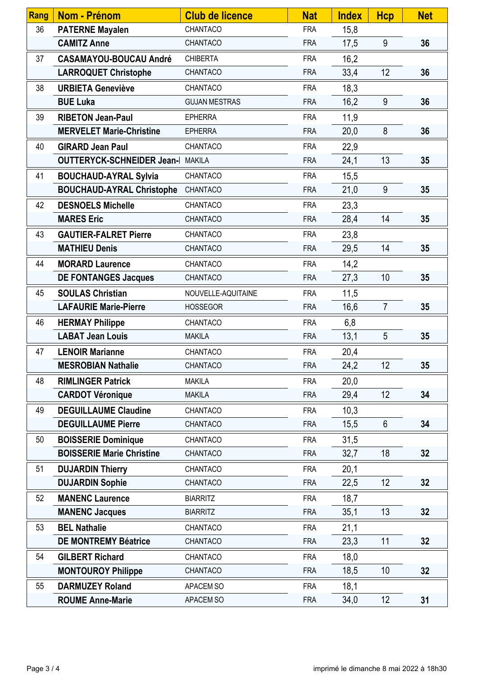| Rang | <b>Nom - Prénom</b>                      | <b>Club de licence</b> | <b>Nat</b> | <b>Index</b> | <b>Hcp</b>     | <b>Net</b> |
|------|------------------------------------------|------------------------|------------|--------------|----------------|------------|
| 36   | <b>PATERNE Mayalen</b>                   | CHANTACO               | <b>FRA</b> | 15,8         |                |            |
|      | <b>CAMITZ Anne</b>                       | CHANTACO               | <b>FRA</b> | 17,5         | 9              | 36         |
| 37   | <b>CASAMAYOU-BOUCAU André</b>            | <b>CHIBERTA</b>        | <b>FRA</b> | 16,2         |                |            |
|      | <b>LARROQUET Christophe</b>              | CHANTACO               | <b>FRA</b> | 33,4         | 12             | 36         |
| 38   | <b>URBIETA Geneviève</b>                 | CHANTACO               | <b>FRA</b> | 18,3         |                |            |
|      | <b>BUE Luka</b>                          | <b>GUJAN MESTRAS</b>   | <b>FRA</b> | 16,2         | 9              | 36         |
| 39   | <b>RIBETON Jean-Paul</b>                 | <b>EPHERRA</b>         | <b>FRA</b> | 11,9         |                |            |
|      | <b>MERVELET Marie-Christine</b>          | <b>EPHERRA</b>         | <b>FRA</b> | 20,0         | 8              | 36         |
| 40   | <b>GIRARD Jean Paul</b>                  | CHANTACO               | <b>FRA</b> | 22,9         |                |            |
|      | <b>OUTTERYCK-SCHNEIDER Jean-I MAKILA</b> |                        | <b>FRA</b> | 24,1         | 13             | 35         |
| 41   | <b>BOUCHAUD-AYRAL Sylvia</b>             | CHANTACO               | <b>FRA</b> | 15,5         |                |            |
|      | <b>BOUCHAUD-AYRAL Christophe</b>         | CHANTACO               | <b>FRA</b> | 21,0         | 9              | 35         |
| 42   | <b>DESNOELS Michelle</b>                 | CHANTACO               | <b>FRA</b> | 23,3         |                |            |
|      | <b>MARES Eric</b>                        | CHANTACO               | <b>FRA</b> | 28,4         | 14             | 35         |
| 43   | <b>GAUTIER-FALRET Pierre</b>             | CHANTACO               | <b>FRA</b> | 23,8         |                |            |
|      | <b>MATHIEU Denis</b>                     | CHANTACO               | <b>FRA</b> | 29,5         | 14             | 35         |
| 44   | <b>MORARD Laurence</b>                   | CHANTACO               | <b>FRA</b> | 14,2         |                |            |
|      | <b>DE FONTANGES Jacques</b>              | CHANTACO               | <b>FRA</b> | 27,3         | 10             | 35         |
| 45   | <b>SOULAS Christian</b>                  | NOUVELLE-AQUITAINE     | <b>FRA</b> | 11,5         |                |            |
|      | <b>LAFAURIE Marie-Pierre</b>             | <b>HOSSEGOR</b>        | <b>FRA</b> | 16,6         | $\overline{7}$ | 35         |
| 46   | <b>HERMAY Philippe</b>                   | CHANTACO               | <b>FRA</b> | 6,8          |                |            |
|      | <b>LABAT Jean Louis</b>                  | <b>MAKILA</b>          | <b>FRA</b> | 13,1         | 5              | 35         |
| 47   | <b>LENOIR Marianne</b>                   | CHANTACO               | <b>FRA</b> | 20,4         |                |            |
|      | <b>MESROBIAN Nathalie</b>                | CHANTACO               | <b>FRA</b> | 24,2         | 12             | 35         |
| 48   | <b>RIMLINGER Patrick</b>                 | <b>MAKILA</b>          | <b>FRA</b> | 20,0         |                |            |
|      | <b>CARDOT Véronique</b>                  | <b>MAKILA</b>          | <b>FRA</b> | 29,4         | 12             | 34         |
| 49   | <b>DEGUILLAUME Claudine</b>              | CHANTACO               | <b>FRA</b> | 10,3         |                |            |
|      | <b>DEGUILLAUME Pierre</b>                | CHANTACO               | <b>FRA</b> | 15,5         | 6              | 34         |
| 50   | <b>BOISSERIE Dominique</b>               | CHANTACO               | <b>FRA</b> | 31,5         |                |            |
|      | <b>BOISSERIE Marie Christine</b>         | CHANTACO               | <b>FRA</b> | 32,7         | 18             | 32         |
| 51   | <b>DUJARDIN Thierry</b>                  | CHANTACO               | <b>FRA</b> | 20,1         |                |            |
|      | <b>DUJARDIN Sophie</b>                   | CHANTACO               | <b>FRA</b> | 22,5         | 12             | 32         |
| 52   | <b>MANENC Laurence</b>                   | <b>BIARRITZ</b>        | <b>FRA</b> | 18,7         |                |            |
|      | <b>MANENC Jacques</b>                    | <b>BIARRITZ</b>        | <b>FRA</b> | 35,1         | 13             | 32         |
| 53   | <b>BEL Nathalie</b>                      | CHANTACO               | <b>FRA</b> | 21,1         |                |            |
|      | <b>DE MONTREMY Béatrice</b>              | CHANTACO               | <b>FRA</b> | 23,3         | 11             | 32         |
| 54   | <b>GILBERT Richard</b>                   | CHANTACO               | <b>FRA</b> | 18,0         |                |            |
|      | <b>MONTOUROY Philippe</b>                | CHANTACO               | <b>FRA</b> | 18,5         | 10             | 32         |
| 55   | <b>DARMUZEY Roland</b>                   | APACEM SO              | <b>FRA</b> | 18,1         |                |            |
|      | <b>ROUME Anne-Marie</b>                  | APACEM SO              | <b>FRA</b> | 34,0         | 12             | 31         |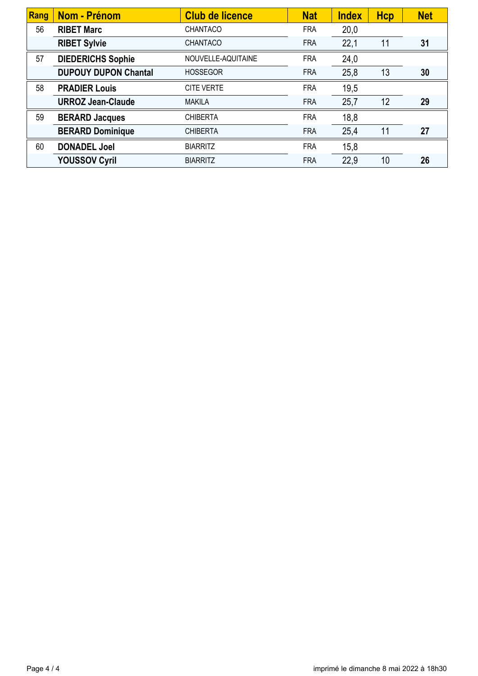| Rang | <b>Nom - Prénom</b>         | <b>Club de licence</b> | <b>Nat</b> | <b>Index</b> | <b>Hcp</b> | <b>Net</b> |
|------|-----------------------------|------------------------|------------|--------------|------------|------------|
| 56   | <b>RIBET Marc</b>           | <b>CHANTACO</b>        | <b>FRA</b> | 20,0         |            |            |
|      | <b>RIBET Sylvie</b>         | <b>CHANTACO</b>        | <b>FRA</b> | 22,1         | 11         | 31         |
| 57   | <b>DIEDERICHS Sophie</b>    | NOUVELLE-AQUITAINE     | <b>FRA</b> | 24,0         |            |            |
|      | <b>DUPOUY DUPON Chantal</b> | <b>HOSSEGOR</b>        | <b>FRA</b> | 25,8         | 13         | 30         |
| 58   | <b>PRADIER Louis</b>        | <b>CITE VERTE</b>      | <b>FRA</b> | 19,5         |            |            |
|      | <b>URROZ Jean-Claude</b>    | <b>MAKILA</b>          | <b>FRA</b> | 25,7         | 12         | 29         |
| 59   | <b>BERARD Jacques</b>       | <b>CHIBERTA</b>        | <b>FRA</b> | 18,8         |            |            |
|      | <b>BERARD Dominique</b>     | <b>CHIBERTA</b>        | <b>FRA</b> | 25,4         | 11         | 27         |
| 60   | <b>DONADEL Joel</b>         | <b>BIARRITZ</b>        | <b>FRA</b> | 15,8         |            |            |
|      | <b>YOUSSOV Cyril</b>        | <b>BIARRITZ</b>        | <b>FRA</b> | 22,9         | 10         | 26         |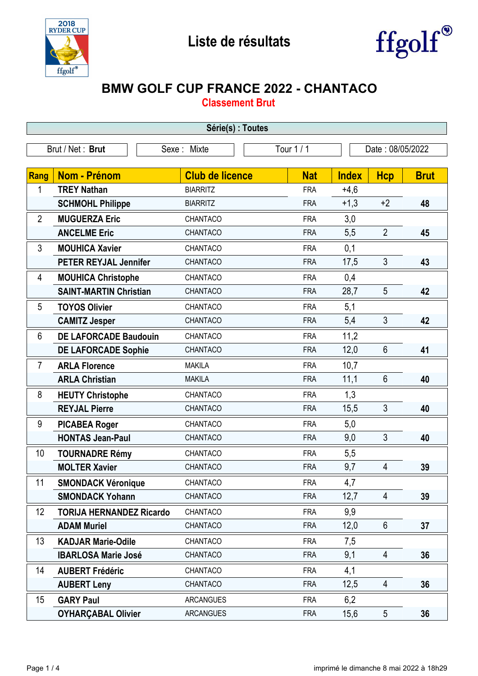



## **BMW GOLF CUP FRANCE 2022 - CHANTACO**

**Classement Brut**

| Série(s) : Toutes |                                 |                        |            |              |                          |             |  |  |
|-------------------|---------------------------------|------------------------|------------|--------------|--------------------------|-------------|--|--|
|                   | Brut / Net: Brut                | Sexe: Mixte            | Tour 1/1   |              | Date: 08/05/2022         |             |  |  |
|                   |                                 |                        |            |              |                          |             |  |  |
| Rang              | <b>Nom - Prénom</b>             | <b>Club de licence</b> | <b>Nat</b> | <b>Index</b> | <b>Hcp</b>               | <b>Brut</b> |  |  |
| 1                 | <b>TREY Nathan</b>              | <b>BIARRITZ</b>        | <b>FRA</b> | $+4,6$       |                          |             |  |  |
|                   | <b>SCHMOHL Philippe</b>         | <b>BIARRITZ</b>        | <b>FRA</b> | $+1,3$       | $+2$                     | 48          |  |  |
| $\overline{2}$    | <b>MUGUERZA Eric</b>            | CHANTACO               | <b>FRA</b> | 3,0          |                          |             |  |  |
|                   | <b>ANCELME Eric</b>             | CHANTACO               | <b>FRA</b> | 5,5          | $\overline{2}$           | 45          |  |  |
| 3                 | <b>MOUHICA Xavier</b>           | CHANTACO               | <b>FRA</b> | 0,1          |                          |             |  |  |
|                   | <b>PETER REYJAL Jennifer</b>    | CHANTACO               | <b>FRA</b> | 17,5         | 3                        | 43          |  |  |
| 4                 | <b>MOUHICA Christophe</b>       | CHANTACO               | <b>FRA</b> | 0,4          |                          |             |  |  |
|                   | <b>SAINT-MARTIN Christian</b>   | CHANTACO               | <b>FRA</b> | 28,7         | 5                        | 42          |  |  |
| 5                 | <b>TOYOS Olivier</b>            | CHANTACO               | <b>FRA</b> | 5,1          |                          |             |  |  |
|                   | <b>CAMITZ Jesper</b>            | CHANTACO               | <b>FRA</b> | 5,4          | 3                        | 42          |  |  |
| 6                 | <b>DE LAFORCADE Baudouin</b>    | CHANTACO               | <b>FRA</b> | 11,2         |                          |             |  |  |
|                   | <b>DE LAFORCADE Sophie</b>      | CHANTACO               | <b>FRA</b> | 12,0         | $6\phantom{1}$           | 41          |  |  |
| $\overline{7}$    | <b>ARLA Florence</b>            | <b>MAKILA</b>          | <b>FRA</b> | 10,7         |                          |             |  |  |
|                   | <b>ARLA Christian</b>           | <b>MAKILA</b>          | <b>FRA</b> | 11,1         | 6                        | 40          |  |  |
| 8                 | <b>HEUTY Christophe</b>         | CHANTACO               | <b>FRA</b> | 1,3          |                          |             |  |  |
|                   | <b>REYJAL Pierre</b>            | CHANTACO               | <b>FRA</b> | 15,5         | 3                        | 40          |  |  |
| 9                 | <b>PICABEA Roger</b>            | CHANTACO               | <b>FRA</b> | 5,0          |                          |             |  |  |
|                   | <b>HONTAS Jean-Paul</b>         | CHANTACO               | <b>FRA</b> | 9,0          | 3                        | 40          |  |  |
| 10                | <b>TOURNADRE Rémy</b>           | CHANTACO               | <b>FRA</b> | 5,5          |                          |             |  |  |
|                   | <b>MOLTER Xavier</b>            | CHANTACO               | <b>FRA</b> | 9,7          | 4                        | 39          |  |  |
| 11                | <b>SMONDACK Véronique</b>       | CHANTACO               | <b>FRA</b> | 4,7          |                          |             |  |  |
|                   | <b>SMONDACK Yohann</b>          | CHANTACO               | <b>FRA</b> | 12,7         | $\overline{4}$           | 39          |  |  |
| 12                | <b>TORIJA HERNANDEZ Ricardo</b> | CHANTACO               | <b>FRA</b> | 9,9          |                          |             |  |  |
|                   | <b>ADAM Muriel</b>              | CHANTACO               | <b>FRA</b> | 12,0         | $6\phantom{.}6$          | 37          |  |  |
| 13                | <b>KADJAR Marie-Odile</b>       | CHANTACO               | <b>FRA</b> | 7,5          |                          |             |  |  |
|                   | <b>IBARLOSA Marie José</b>      | CHANTACO               | <b>FRA</b> | 9,1          | 4                        | 36          |  |  |
| 14                | <b>AUBERT Frédéric</b>          | CHANTACO               | <b>FRA</b> | 4,1          |                          |             |  |  |
|                   | <b>AUBERT Leny</b>              | CHANTACO               | <b>FRA</b> | 12,5         | $\overline{\mathcal{A}}$ | 36          |  |  |
| 15                | <b>GARY Paul</b>                | <b>ARCANGUES</b>       | <b>FRA</b> | 6,2          |                          |             |  |  |
|                   | <b>OYHARÇABAL Olivier</b>       | <b>ARCANGUES</b>       | <b>FRA</b> | 15,6         | $5\overline{)}$          | 36          |  |  |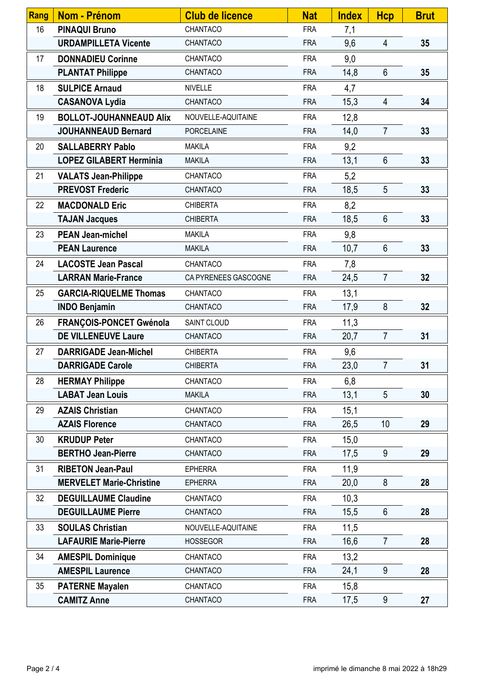| Rang | <b>Nom - Prénom</b>             | <b>Club de licence</b> | <b>Nat</b> | <b>Index</b> | <b>Hcp</b>     | <b>Brut</b> |
|------|---------------------------------|------------------------|------------|--------------|----------------|-------------|
| 16   | <b>PINAQUI Bruno</b>            | CHANTACO               | <b>FRA</b> | 7,1          |                |             |
|      | <b>URDAMPILLETA Vicente</b>     | CHANTACO               | <b>FRA</b> | 9,6          | $\overline{4}$ | 35          |
| 17   | <b>DONNADIEU Corinne</b>        | CHANTACO               | <b>FRA</b> | 9,0          |                |             |
|      | <b>PLANTAT Philippe</b>         | CHANTACO               | <b>FRA</b> | 14,8         | $6\phantom{1}$ | 35          |
| 18   | <b>SULPICE Arnaud</b>           | <b>NIVELLE</b>         | <b>FRA</b> | 4,7          |                |             |
|      | <b>CASANOVA Lydia</b>           | CHANTACO               | <b>FRA</b> | 15,3         | 4              | 34          |
| 19   | <b>BOLLOT-JOUHANNEAUD Alix</b>  | NOUVELLE-AQUITAINE     | <b>FRA</b> | 12,8         |                |             |
|      | <b>JOUHANNEAUD Bernard</b>      | <b>PORCELAINE</b>      | <b>FRA</b> | 14,0         | $\overline{7}$ | 33          |
| 20   | <b>SALLABERRY Pablo</b>         | <b>MAKILA</b>          | <b>FRA</b> | 9,2          |                |             |
|      | <b>LOPEZ GILABERT Herminia</b>  | <b>MAKILA</b>          | <b>FRA</b> | 13,1         | $6\phantom{1}$ | 33          |
| 21   | <b>VALATS Jean-Philippe</b>     | CHANTACO               | <b>FRA</b> | 5,2          |                |             |
|      | <b>PREVOST Frederic</b>         | CHANTACO               | <b>FRA</b> | 18,5         | 5              | 33          |
| 22   | <b>MACDONALD Eric</b>           | <b>CHIBERTA</b>        | <b>FRA</b> | 8,2          |                |             |
|      | <b>TAJAN Jacques</b>            | <b>CHIBERTA</b>        | <b>FRA</b> | 18,5         | $6\phantom{1}$ | 33          |
| 23   | <b>PEAN Jean-michel</b>         | <b>MAKILA</b>          | <b>FRA</b> | 9,8          |                |             |
|      | <b>PEAN Laurence</b>            | <b>MAKILA</b>          | <b>FRA</b> | 10,7         | $6\phantom{1}$ | 33          |
| 24   | <b>LACOSTE Jean Pascal</b>      | CHANTACO               | <b>FRA</b> | 7,8          |                |             |
|      | <b>LARRAN Marie-France</b>      | CA PYRENEES GASCOGNE   | <b>FRA</b> | 24,5         | $\overline{7}$ | 32          |
| 25   | <b>GARCIA-RIQUELME Thomas</b>   | CHANTACO               | <b>FRA</b> | 13,1         |                |             |
|      | <b>INDO Benjamin</b>            | CHANTACO               | <b>FRA</b> | 17,9         | 8              | 32          |
| 26   | FRANÇOIS-PONCET Gwénola         | SAINT CLOUD            | <b>FRA</b> | 11,3         |                |             |
|      | <b>DE VILLENEUVE Laure</b>      | CHANTACO               | <b>FRA</b> | 20,7         | $\overline{7}$ | 31          |
| 27   | <b>DARRIGADE Jean-Michel</b>    | <b>CHIBERTA</b>        | <b>FRA</b> | 9,6          |                |             |
|      | <b>DARRIGADE Carole</b>         | <b>CHIBERTA</b>        | <b>FRA</b> | 23,0         | $\overline{7}$ | 31          |
| 28   | <b>HERMAY Philippe</b>          | CHANTACO               | <b>FRA</b> | 6,8          |                |             |
|      | <b>LABAT Jean Louis</b>         | <b>MAKILA</b>          | <b>FRA</b> | 13,1         | 5              | 30          |
| 29   | <b>AZAIS Christian</b>          | CHANTACO               | <b>FRA</b> | 15,1         |                |             |
|      | <b>AZAIS Florence</b>           | CHANTACO               | <b>FRA</b> | 26,5         | 10             | 29          |
| 30   | <b>KRUDUP Peter</b>             | CHANTACO               | <b>FRA</b> | 15,0         |                |             |
|      | <b>BERTHO Jean-Pierre</b>       | CHANTACO               | <b>FRA</b> | 17,5         | 9              | 29          |
| 31   | <b>RIBETON Jean-Paul</b>        | <b>EPHERRA</b>         | <b>FRA</b> | 11,9         |                |             |
|      | <b>MERVELET Marie-Christine</b> | <b>EPHERRA</b>         | <b>FRA</b> | 20,0         | 8              | 28          |
| 32   | <b>DEGUILLAUME Claudine</b>     | CHANTACO               | <b>FRA</b> | 10,3         |                |             |
|      | <b>DEGUILLAUME Pierre</b>       | CHANTACO               | <b>FRA</b> | 15,5         | $6\phantom{1}$ | 28          |
| 33   | <b>SOULAS Christian</b>         | NOUVELLE-AQUITAINE     | <b>FRA</b> | 11,5         |                |             |
|      | <b>LAFAURIE Marie-Pierre</b>    | <b>HOSSEGOR</b>        | <b>FRA</b> | 16,6         | $\overline{7}$ | 28          |
| 34   | <b>AMESPIL Dominique</b>        | CHANTACO               | <b>FRA</b> | 13,2         |                |             |
|      | <b>AMESPIL Laurence</b>         | CHANTACO               | <b>FRA</b> | 24,1         | 9              | 28          |
| 35   | <b>PATERNE Mayalen</b>          | CHANTACO               | <b>FRA</b> | 15,8         |                |             |
|      | <b>CAMITZ Anne</b>              | CHANTACO               | <b>FRA</b> | 17,5         | 9              | 27          |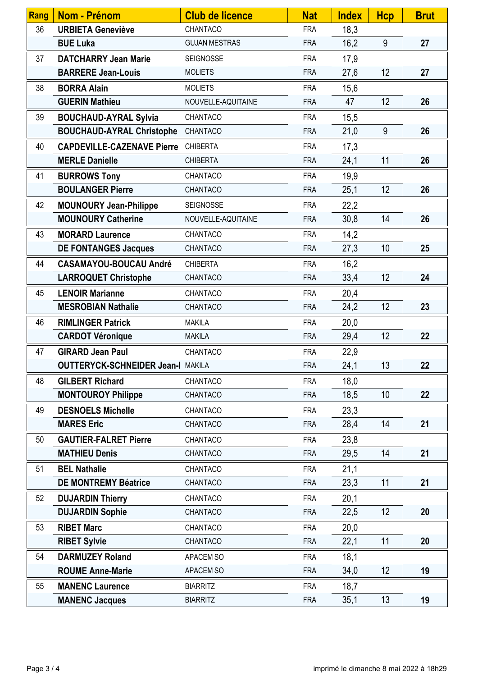| Rang | Nom - Prénom                             | <b>Club de licence</b> | <b>Nat</b> | <b>Index</b> | <b>Hcp</b> | <b>Brut</b> |
|------|------------------------------------------|------------------------|------------|--------------|------------|-------------|
| 36   | <b>URBIETA Geneviève</b>                 | CHANTACO               | <b>FRA</b> | 18,3         |            |             |
|      | <b>BUE Luka</b>                          | <b>GUJAN MESTRAS</b>   | <b>FRA</b> | 16,2         | 9          | 27          |
| 37   | <b>DATCHARRY Jean Marie</b>              | <b>SEIGNOSSE</b>       | <b>FRA</b> | 17,9         |            |             |
|      | <b>BARRERE Jean-Louis</b>                | <b>MOLIETS</b>         | <b>FRA</b> | 27,6         | 12         | 27          |
| 38   | <b>BORRA Alain</b>                       | <b>MOLIETS</b>         | <b>FRA</b> | 15,6         |            |             |
|      | <b>GUERIN Mathieu</b>                    | NOUVELLE-AQUITAINE     | <b>FRA</b> | 47           | 12         | 26          |
| 39   | <b>BOUCHAUD-AYRAL Sylvia</b>             | CHANTACO               | <b>FRA</b> | 15,5         |            |             |
|      | <b>BOUCHAUD-AYRAL Christophe</b>         | CHANTACO               | <b>FRA</b> | 21,0         | 9          | 26          |
| 40   | <b>CAPDEVILLE-CAZENAVE Pierre</b>        | <b>CHIBERTA</b>        | <b>FRA</b> | 17,3         |            |             |
|      | <b>MERLE Danielle</b>                    | <b>CHIBERTA</b>        | <b>FRA</b> | 24,1         | 11         | 26          |
| 41   | <b>BURROWS Tony</b>                      | CHANTACO               | <b>FRA</b> | 19,9         |            |             |
|      | <b>BOULANGER Pierre</b>                  | CHANTACO               | <b>FRA</b> | 25,1         | 12         | 26          |
| 42   | <b>MOUNOURY Jean-Philippe</b>            | <b>SEIGNOSSE</b>       | <b>FRA</b> | 22,2         |            |             |
|      | <b>MOUNOURY Catherine</b>                | NOUVELLE-AQUITAINE     | <b>FRA</b> | 30,8         | 14         | 26          |
| 43   | <b>MORARD Laurence</b>                   | CHANTACO               | <b>FRA</b> | 14,2         |            |             |
|      | <b>DE FONTANGES Jacques</b>              | CHANTACO               | <b>FRA</b> | 27,3         | 10         | 25          |
| 44   | <b>CASAMAYOU-BOUCAU André</b>            | <b>CHIBERTA</b>        | <b>FRA</b> | 16,2         |            |             |
|      | <b>LARROQUET Christophe</b>              | CHANTACO               | <b>FRA</b> | 33,4         | 12         | 24          |
| 45   | <b>LENOIR Marianne</b>                   | CHANTACO               | <b>FRA</b> | 20,4         |            |             |
|      | <b>MESROBIAN Nathalie</b>                | CHANTACO               | <b>FRA</b> | 24,2         | 12         | 23          |
| 46   | <b>RIMLINGER Patrick</b>                 | <b>MAKILA</b>          | <b>FRA</b> | 20,0         |            |             |
|      | <b>CARDOT Véronique</b>                  | <b>MAKILA</b>          | <b>FRA</b> | 29,4         | 12         | 22          |
| 47   | <b>GIRARD Jean Paul</b>                  | CHANTACO               | <b>FRA</b> | 22,9         |            |             |
|      | <b>OUTTERYCK-SCHNEIDER Jean-I MAKILA</b> |                        | <b>FRA</b> | 24,1         | 13         | 22          |
| 48   | <b>GILBERT Richard</b>                   | CHANTACO               | <b>FRA</b> | 18,0         |            |             |
|      | <b>MONTOUROY Philippe</b>                | CHANTACO               | <b>FRA</b> | 18,5         | 10         | 22          |
| 49   | <b>DESNOELS Michelle</b>                 | CHANTACO               | <b>FRA</b> | 23,3         |            |             |
|      | <b>MARES Eric</b>                        | CHANTACO               | <b>FRA</b> | 28,4         | 14         | 21          |
| 50   | <b>GAUTIER-FALRET Pierre</b>             | CHANTACO               | <b>FRA</b> | 23,8         |            |             |
|      | <b>MATHIEU Denis</b>                     | CHANTACO               | <b>FRA</b> | 29,5         | 14         | 21          |
| 51   | <b>BEL Nathalie</b>                      | CHANTACO               | <b>FRA</b> | 21,1         |            |             |
|      | <b>DE MONTREMY Béatrice</b>              | CHANTACO               | <b>FRA</b> | 23,3         | 11         | 21          |
| 52   | <b>DUJARDIN Thierry</b>                  | CHANTACO               | <b>FRA</b> | 20,1         |            |             |
|      | <b>DUJARDIN Sophie</b>                   | CHANTACO               | <b>FRA</b> | 22,5         | 12         | 20          |
| 53   | <b>RIBET Marc</b>                        | CHANTACO               | <b>FRA</b> | 20,0         |            |             |
|      | <b>RIBET Sylvie</b>                      | CHANTACO               | <b>FRA</b> | 22,1         | 11         | 20          |
| 54   | <b>DARMUZEY Roland</b>                   | APACEM SO              | <b>FRA</b> | 18,1         |            |             |
|      | <b>ROUME Anne-Marie</b>                  | APACEM SO              | <b>FRA</b> | 34,0         | 12         | 19          |
| 55   | <b>MANENC Laurence</b>                   | <b>BIARRITZ</b>        | <b>FRA</b> | 18,7         |            |             |
|      | <b>MANENC Jacques</b>                    | <b>BIARRITZ</b>        | <b>FRA</b> | 35,1         | 13         | 19          |